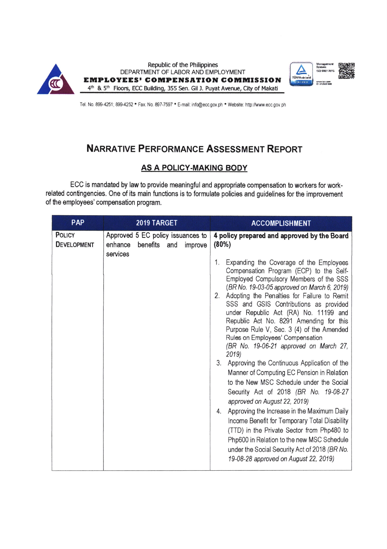





Tel. No. 899-4251; 899-4252 · Fax. No. 897-7597 · E-mail: info@ecc.gov.ph · Website: http://www.ecc.gov.ph

# NARRATIVE PERFORMANCE ASSESSMENT REPORT

## AS A POLICY.MAKING BODY

ECC is mandated by law to provide meaningful and apprcpriate compensation to workers for workrelated contingencies. One of its main functions is to formulate policies and guidelines for the improvement of the employees' compensation program.

| PAP                                 | 2019 TARGET                                                                            | <b>ACCOMPLISHMENT</b>                                                                                                                                                                                                                                                                                                                                                                                                                                                                                                                                                                                                                                                                                                                                                                                                                                                                                                                                                                                                                      |
|-------------------------------------|----------------------------------------------------------------------------------------|--------------------------------------------------------------------------------------------------------------------------------------------------------------------------------------------------------------------------------------------------------------------------------------------------------------------------------------------------------------------------------------------------------------------------------------------------------------------------------------------------------------------------------------------------------------------------------------------------------------------------------------------------------------------------------------------------------------------------------------------------------------------------------------------------------------------------------------------------------------------------------------------------------------------------------------------------------------------------------------------------------------------------------------------|
| <b>POLICY</b><br><b>DEVELOPMENT</b> | Approved 5 EC policy issuances to<br>enhance<br>benefits<br>and<br>improve<br>services | 4 policy prepared and approved by the Board<br>(80%)<br>Expanding the Coverage of the Employees<br>1.<br>Compensation Program (ECP) to the Self-<br>Employed Compulsory Members of the SSS<br>(BR No. 19-03-05 approved on March 6, 2019)<br>Adopting the Penalties for Failure to Remit<br>2.<br>SSS and GSIS Contributions as provided<br>under Republic Act (RA) No. 11199 and<br>Republic Act No. 8291 Amending for this<br>Purpose Rule V, Sec. 3 (4) of the Amended<br>Rules on Employees' Compensation<br>(BR No. 19-06-21 approved on March 27,<br>2019<br>3.<br>Approving the Continuous Application of the<br>Manner of Computing EC Pension in Relation<br>to the New MSC Schedule under the Social<br>Security Act of 2018 (BR No. 19-08-27<br>approved on August 22, 2019)<br>Approving the Increase in the Maximum Daily<br>4.<br>Income Benefit for Temporary Total Disability<br>(TTD) in the Private Sector from Php480 to<br>Php600 in Relation to the new MSC Schedule<br>under the Social Security Act of 2018 (BR No. |
|                                     |                                                                                        | 19-08-28 approved on August 22, 2019)                                                                                                                                                                                                                                                                                                                                                                                                                                                                                                                                                                                                                                                                                                                                                                                                                                                                                                                                                                                                      |